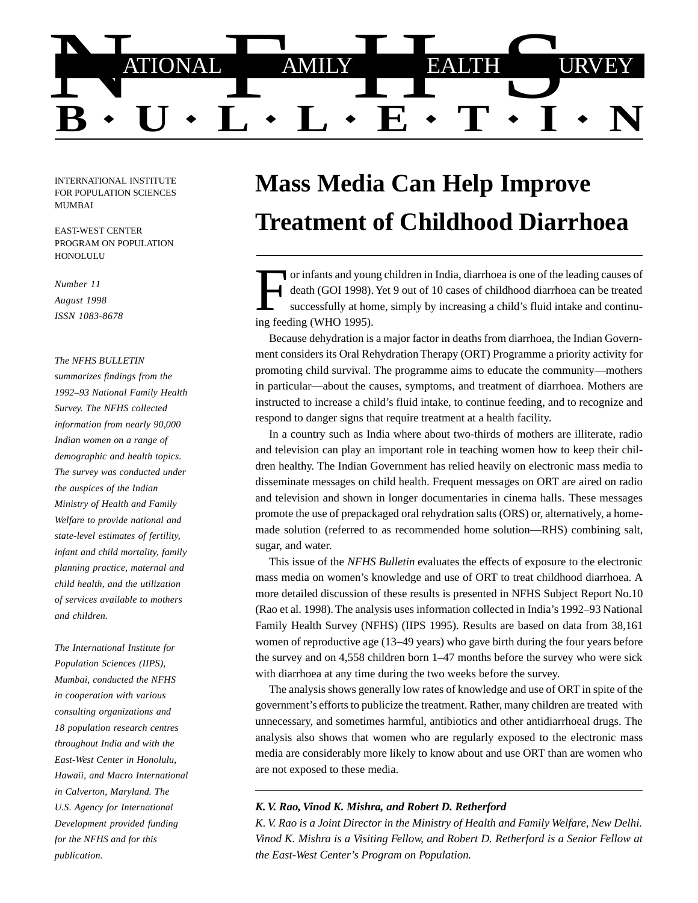

INTERNATIONAL INSTITUTE FOR POPULATION SCIENCES MUMBAI

EAST-WEST CENTER PROGRAM ON POPULATION **HONOLULU** 

*Number 11 August 1998 ISSN 1083-8678*

#### *The NFHS BULLETIN*

*summarizes findings from the 1992–93 National Family Health Survey. The NFHS collected information from nearly 90,000 Indian women on a range of demographic and health topics. The survey was conducted under the auspices of the Indian Ministry of Health and Family Welfare to provide national and state-level estimates of fertility, infant and child mortality, family planning practice, maternal and child health, and the utilization of services available to mothers and children.*

*The International Institute for Population Sciences (IIPS), Mumbai, conducted the NFHS in cooperation with various consulting organizations and 18 population research centres throughout India and with the East-West Center in Honolulu, Hawaii, and Macro International in Calverton, Maryland. The U.S. Agency for International Development provided funding for the NFHS and for this publication.*

# **Mass Media Can Help Improve Treatment of Childhood Diarrhoea**

or infants and young children in India, diarrhoea is one of the leading causes of death (GOI 1998). Yet 9 out of 10 cases of childhood diarrhoea can be treated successfully at home, simply by increasing a child's fluid intake and continuing feeding (WHO 1995).

Because dehydration is a major factor in deaths from diarrhoea, the Indian Government considers its Oral Rehydration Therapy (ORT) Programme a priority activity for promoting child survival. The programme aims to educate the community—mothers in particular—about the causes, symptoms, and treatment of diarrhoea. Mothers are instructed to increase a child's fluid intake, to continue feeding, and to recognize and respond to danger signs that require treatment at a health facility.

In a country such as India where about two-thirds of mothers are illiterate, radio and television can play an important role in teaching women how to keep their children healthy. The Indian Government has relied heavily on electronic mass media to disseminate messages on child health. Frequent messages on ORT are aired on radio and television and shown in longer documentaries in cinema halls. These messages promote the use of prepackaged oral rehydration salts (ORS) or, alternatively, a homemade solution (referred to as recommended home solution—RHS) combining salt, sugar, and water.

This issue of the *NFHS Bulletin* evaluates the effects of exposure to the electronic mass media on women's knowledge and use of ORT to treat childhood diarrhoea. A more detailed discussion of these results is presented in NFHS Subject Report No.10 (Rao et al. 1998). The analysis uses information collected in India's 1992–93 National Family Health Survey (NFHS) (IIPS 1995). Results are based on data from 38,161 women of reproductive age (13–49 years) who gave birth during the four years before the survey and on 4,558 children born 1–47 months before the survey who were sick with diarrhoea at any time during the two weeks before the survey.

The analysis shows generally low rates of knowledge and use of ORT in spite of the government's efforts to publicize the treatment. Rather, many children are treated with unnecessary, and sometimes harmful, antibiotics and other antidiarrhoeal drugs. The analysis also shows that women who are regularly exposed to the electronic mass media are considerably more likely to know about and use ORT than are women who are not exposed to these media.

### *K. V. Rao, Vinod K. Mishra, and Robert D. Retherford*

*K. V. Rao is a Joint Director in the Ministry of Health and Family Welfare, New Delhi. Vinod K. Mishra is a Visiting Fellow, and Robert D. Retherford is a Senior Fellow at the East-West Center's Program on Population.*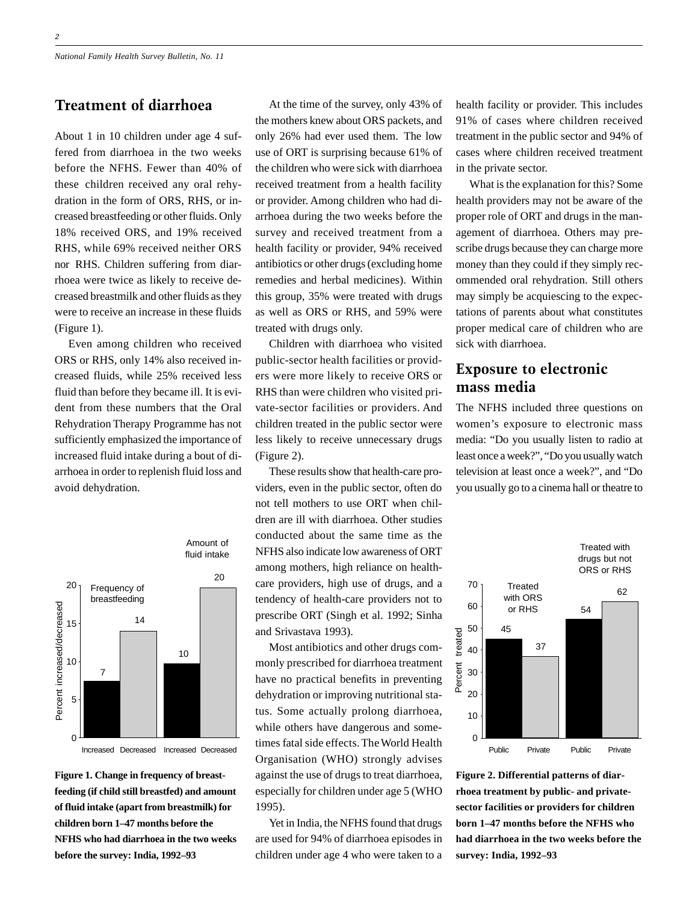## Treatment of diarrhoea

About 1 in 10 children under age 4 suffered from diarrhoea in the two weeks before the NFHS. Fewer than 40% of these children received any oral rehydration in the form of ORS, RHS, or increased breastfeeding or other fluids. Only 18% received ORS, and 19% received RHS, while 69% received neither ORS nor RHS. Children suffering from diarrhoea were twice as likely to receive decreased breastmilk and other fluids as they were to receive an increase in these fluids (Figure 1).

Even among children who received ORS or RHS, only 14% also received increased fluids, while 25% received less fluid than before they became ill. It is evident from these numbers that the Oral Rehydration Therapy Programme has not sufficiently emphasized the importance of increased fluid intake during a bout of diarrhoea in order to replenish fluid loss and avoid dehydration.



Amount of fluid intake

Increased Decreased Increased Decreased

**Figure 1. Change in frequency of breastfeeding (if child still breastfed) and amount of fluid intake (apart from breastmilk) for children born 1–47 months before the NFHS who had diarrhoea in the two weeks before the survey: India, 1992–93**

At the time of the survey, only 43% of the mothers knew about ORS packets, and only 26% had ever used them. The low use of ORT is surprising because 61% of the children who were sick with diarrhoea received treatment from a health facility or provider. Among children who had diarrhoea during the two weeks before the survey and received treatment from a health facility or provider, 94% received antibiotics or other drugs (excluding home remedies and herbal medicines). Within this group, 35% were treated with drugs as well as ORS or RHS, and 59% were treated with drugs only.

Children with diarrhoea who visited public-sector health facilities or providers were more likely to receive ORS or RHS than were children who visited private-sector facilities or providers. And children treated in the public sector were less likely to receive unnecessary drugs (Figure 2).

These results show that health-care providers, even in the public sector, often do not tell mothers to use ORT when children are ill with diarrhoea. Other studies conducted about the same time as the NFHS also indicate low awareness of ORT among mothers, high reliance on healthcare providers, high use of drugs, and a tendency of health-care providers not to prescribe ORT (Singh et al. 1992; Sinha and Srivastava 1993).

Most antibiotics and other drugs commonly prescribed for diarrhoea treatment have no practical benefits in preventing dehydration or improving nutritional status. Some actually prolong diarrhoea, while others have dangerous and sometimes fatal side effects. The World Health Organisation (WHO) strongly advises against the use of drugs to treat diarrhoea, especially for children under age 5 (WHO 1995).

Yet in India, the NFHS found that drugs are used for 94% of diarrhoea episodes in children under age 4 who were taken to a

health facility or provider. This includes 91% of cases where children received treatment in the public sector and 94% of cases where children received treatment in the private sector.

What is the explanation for this? Some health providers may not be aware of the proper role of ORT and drugs in the management of diarrhoea. Others may prescribe drugs because they can charge more money than they could if they simply recommended oral rehydration. Still others may simply be acquiescing to the expectations of parents about what constitutes proper medical care of children who are sick with diarrhoea.

## Exposure to electronic mass media

The NFHS included three questions on women's exposure to electronic mass media: "Do you usually listen to radio at least once a week?", "Do you usually watch television at least once a week?", and "Do you usually go to a cinema hall or theatre to



**Figure 2. Differential patterns of diarrhoea treatment by public- and privatesector facilities or providers for children born 1–47 months before the NFHS who had diarrhoea in the two weeks before the survey: India, 1992–93**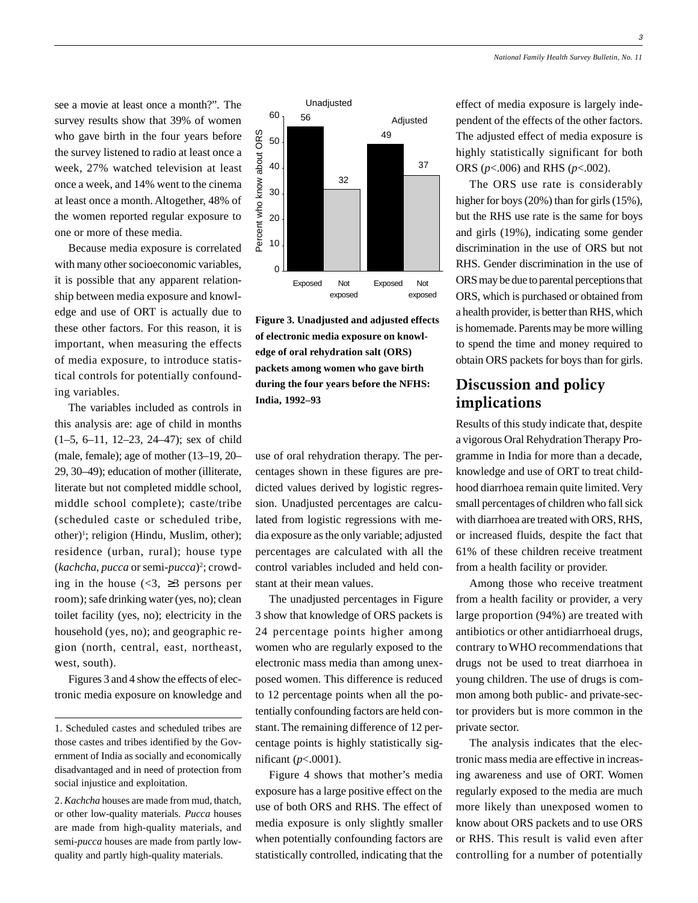3

see a movie at least once a month?". The survey results show that 39% of women who gave birth in the four years before the survey listened to radio at least once a week, 27% watched television at least once a week, and 14% went to the cinema at least once a month. Altogether, 48% of the women reported regular exposure to one or more of these media.

Because media exposure is correlated with many other socioeconomic variables, it is possible that any apparent relationship between media exposure and knowledge and use of ORT is actually due to these other factors. For this reason, it is important, when measuring the effects of media exposure, to introduce statistical controls for potentially confounding variables.

The variables included as controls in this analysis are: age of child in months (1–5, 6–11, 12–23, 24–47); sex of child (male, female); age of mother (13–19, 20– 29, 30–49); education of mother (illiterate, literate but not completed middle school, middle school complete); caste/tribe (scheduled caste or scheduled tribe, other)<sup>1</sup>; religion (Hindu, Muslim, other); residence (urban, rural); house type (*kachcha*, *pucca* or semi-*pucca*)2 ; crowding in the house  $\langle \langle 3, \rangle \rangle$  persons per room); safe drinking water (yes, no); clean toilet facility (yes, no); electricity in the household (yes, no); and geographic region (north, central, east, northeast, west, south).

Figures 3 and 4 show the effects of electronic media exposure on knowledge and



**Figure 3. Unadjusted and adjusted effects of electronic media exposure on knowledge of oral rehydration salt (ORS) packets among women who gave birth during the four years before the NFHS: India, 1992–93**

use of oral rehydration therapy. The percentages shown in these figures are predicted values derived by logistic regression. Unadjusted percentages are calculated from logistic regressions with media exposure as the only variable; adjusted percentages are calculated with all the control variables included and held constant at their mean values.

The unadjusted percentages in Figure 3 show that knowledge of ORS packets is 24 percentage points higher among women who are regularly exposed to the electronic mass media than among unexposed women. This difference is reduced to 12 percentage points when all the potentially confounding factors are held constant. The remaining difference of 12 percentage points is highly statistically significant (*p*<.0001).

Figure 4 shows that mother's media exposure has a large positive effect on the use of both ORS and RHS. The effect of media exposure is only slightly smaller when potentially confounding factors are statistically controlled, indicating that the effect of media exposure is largely independent of the effects of the other factors. The adjusted effect of media exposure is highly statistically significant for both ORS (*p*<.006) and RHS (*p*<.002).

The ORS use rate is considerably higher for boys (20%) than for girls (15%), but the RHS use rate is the same for boys and girls (19%), indicating some gender discrimination in the use of ORS but not RHS. Gender discrimination in the use of ORS may be due to parental perceptions that ORS, which is purchased or obtained from a health provider, is better than RHS, which is homemade. Parents may be more willing to spend the time and money required to obtain ORS packets for boys than for girls.

## Discussion and policy implications

Results of this study indicate that, despite a vigorous Oral Rehydration Therapy Programme in India for more than a decade, knowledge and use of ORT to treat childhood diarrhoea remain quite limited. Very small percentages of children who fall sick with diarrhoea are treated with ORS, RHS, or increased fluids, despite the fact that 61% of these children receive treatment from a health facility or provider.

Among those who receive treatment from a health facility or provider, a very large proportion (94%) are treated with antibiotics or other antidiarrhoeal drugs, contrary to WHO recommendations that drugs not be used to treat diarrhoea in young children. The use of drugs is common among both public- and private-sector providers but is more common in the private sector.

The analysis indicates that the electronic mass media are effective in increasing awareness and use of ORT. Women regularly exposed to the media are much more likely than unexposed women to know about ORS packets and to use ORS or RHS. This result is valid even after controlling for a number of potentially

<sup>1.</sup> Scheduled castes and scheduled tribes are those castes and tribes identified by the Government of India as socially and economically disadvantaged and in need of protection from social injustice and exploitation.

<sup>2.</sup> *Kachcha* houses are made from mud, thatch, or other low-quality materials. *Pucca* houses are made from high-quality materials, and semi-*pucca* houses are made from partly lowquality and partly high-quality materials.